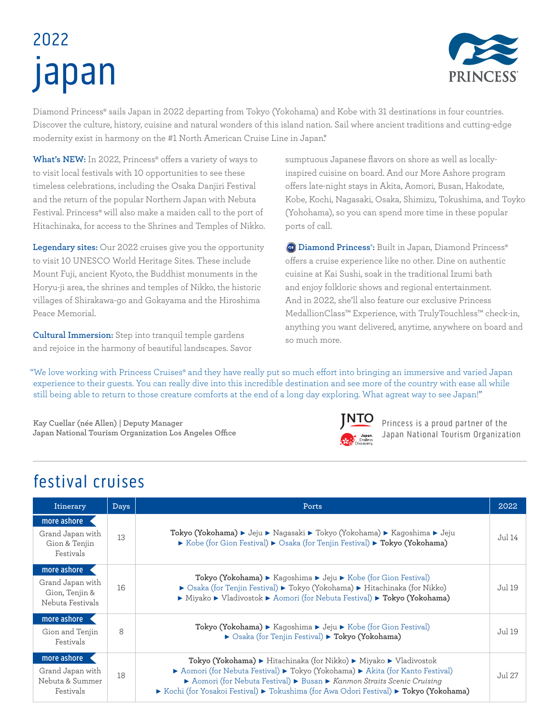# 2022 japan



Diamond Princess® sails Japan in 2022 departing from Tokyo (Yokohama) and Kobe with 31 destinations in four countries. Discover the culture, history, cuisine and natural wonders of this island nation. Sail where ancient traditions and cutting-edge modernity exist in harmony on the #1 North American Cruise Line in Japan.\*

What's NEW: In 2022, Princess<sup>®</sup> offers a variety of ways to to visit local festivals with 10 opportunities to see these timeless celebrations, including the Osaka Danjiri Festival and the return of the popular Northern Japan with Nebuta Festival. Princess® will also make a maiden call to the port of Hitachinaka, for access to the Shrines and Temples of Nikko.

**Legendary sites:** Our 2022 cruises give you the opportunity to visit 10 UNESCO World Heritage Sites. These include Mount Fuji, ancient Kyoto, the Buddhist monuments in the Horyu-ji area, the shrines and temples of Nikko, the historic villages of Shirakawa-go and Gokayama and the Hiroshima Peace Memorial.

**Cultural Immersion:** Step into tranquil temple gardens and rejoice in the harmony of beautiful landscapes. Savor sumptuous Japanese flavors on shore as well as locallyinspired cuisine on board. And our More Ashore program offers late-night stays in Akita, Aomori, Busan, Hakodate, Kobe, Kochi, Nagasaki, Osaka, Shimizu, Tokushima, and Toyko (Yohohama), so you can spend more time in these popular ports of call.

 **Diamond Princess® :** Built in Japan, Diamond Princess® offers a cruise experience like no other. Dine on authentic cuisine at Kai Sushi, soak in the traditional Izumi bath and enjoy folkloric shows and regional entertainment. And in 2022, she'll also feature our exclusive Princess MedallionClass™ Experience, with TrulyTouchless™ check-in, anything you want delivered, anytime, anywhere on board and so much more.

"We love working with Princess Cruises® and they have really put so much effort into bringing an immersive and varied Japan experience to their guests. You can really dive into this incredible destination and see more of the country with ease all while still being able to return to those creature comforts at the end of a long day exploring. What agreat way to see Japan!"

**Kay Cuellar (née Allen) | Deputy Manager Japan National Tourism Organization Los Angeles Office**



Princess is a proud partner of the Japan National Tourism Organization

## festival cruises

| Itinerary                                                             | <b>Days</b> | Ports                                                                                                                                                                                                                                                                                                                                                                      | 2022   |
|-----------------------------------------------------------------------|-------------|----------------------------------------------------------------------------------------------------------------------------------------------------------------------------------------------------------------------------------------------------------------------------------------------------------------------------------------------------------------------------|--------|
| more ashore<br>Grand Japan with<br>Gion & Tenjin<br>Festivals         | 13          | Tokyo (Yokohama) ► Jeju ► Nagasaki ► Tokyo (Yokohama) ► Kagoshima ► Jeju<br>► Kobe (for Gion Festival) ► Osaka (for Tenjin Festival) ► Tokyo (Yokohama)                                                                                                                                                                                                                    |        |
| more ashore<br>Grand Japan with<br>Gion, Tenjin &<br>Nebuta Festivals | 16          | Tokyo (Yokohama) $\blacktriangleright$ Kagoshima $\blacktriangleright$ Jeju $\blacktriangleright$ Kobe (for Gion Festival)<br>▶ Osaka (for Tenjin Festival) ▶ Tokyo (Yokohama) ▶ Hitachinaka (for Nikko)<br>▶ Miyako ▶ Vladivostok ▶ Aomori (for Nebuta Festival) ▶ Tokyo (Yokohama)                                                                                       |        |
| more ashore<br>Gion and Tenjin<br>Festivals                           | 8           | Tokyo (Yokohama) > Kagoshima > Jeju > Kobe (for Gion Festival)<br>▶ Osaka (for Tenjin Festival) ▶ Tokyo (Yokohama)                                                                                                                                                                                                                                                         |        |
| more ashore<br>Grand Japan with<br>Nebuta & Summer<br>Festivals       | 18          | <b>Tokyo (Yokohama) ►</b> Hitachinaka (for Nikko) ► Miyako ► Vladivostok<br>▶ Aomori (for Nebuta Festival) ▶ Tokyo (Yokohama) ▶ Akita (for Kanto Festival)<br>Aomori (for Nebuta Festival) > Busan > Kanmon Straits Scenic Cruising<br>$\triangleright$ Kochi (for Yosakoi Festival) $\triangleright$ Tokushima (for Awa Odori Festival) $\triangleright$ Tokyo (Yokohama) | Jul 27 |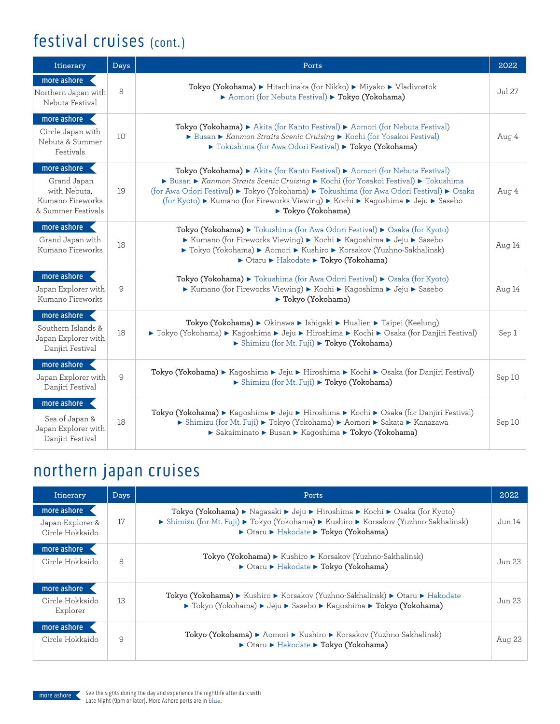## festival cruises (cont.)

| Itinerary                                                                            | Days | Ports                                                                                                                                                                                                                                                                                                                                                               |        |
|--------------------------------------------------------------------------------------|------|---------------------------------------------------------------------------------------------------------------------------------------------------------------------------------------------------------------------------------------------------------------------------------------------------------------------------------------------------------------------|--------|
| more ashore<br>Northern Japan with<br>Nebuta Festival                                | 8    | Tokyo (Yokohama) > Hitachinaka (for Nikko) > Miyako > Vladivostok<br>Aomori (for Nebuta Festival) > Tokyo (Yokohama)                                                                                                                                                                                                                                                |        |
| more ashore<br>Circle Japan with<br>Nebuta & Summer<br>Festivals                     | 10   | Tokyo (Yokohama) > Akita (for Kanto Festival) > Aomori (for Nebuta Festival)<br>Busan Kanmon Straits Scenic Cruising Kochi (for Yosakoi Festival)<br>▶ Tokushima (for Awa Odori Festival) ▶ Tokyo (Yokohama)                                                                                                                                                        | Aug 4  |
| more ashore<br>Grand Japan<br>with Nebuta,<br>Kumano Fireworks<br>& Summer Festivals | 19   | Tokyo (Yokohama) > Akita (for Kanto Festival) > Aomori (for Nebuta Festival)<br>Busan Chanmon Straits Scenic Cruising CKochi (for Yosakoi Festival) Chanshima<br>(for Awa Odori Festival) ► Tokyo (Yokohama) ► Tokushima (for Awa Odori Festival) ► Osaka<br>(for Kyoto) ► Kumano (for Fireworks Viewing) ► Kochi ► Kagoshima ► Jeju ► Sasebo<br>▶ Tokyo (Yokohama) | Aug 4  |
| more ashore<br>Grand Japan with<br>Kumano Fireworks                                  | 18   | Tokyo (Yokohama) ► Tokushima (for Awa Odori Festival) ► Osaka (for Kyoto)<br>► Kumano (for Fireworks Viewing) ► Kochi ► Kagoshima ► Jeju ► Sasebo<br>▶ Tokyo (Yokohama) ▶ Aomori ▶ Kushiro ▶ Korsakov (Yuzhno-Sakhalinsk)<br>▶ Otaru ▶ Hakodate ▶ Tokyo (Yokohama)                                                                                                  | Aug 14 |
| more ashore<br>Japan Explorer with<br>Kumano Fireworks                               | 9    | Tokyo (Yokohama) > Tokushima (for Awa Odori Festival) > Osaka (for Kyoto)<br>► Kumano (for Fireworks Viewing) ► Kochi ► Kagoshima ► Jeju ► Sasebo<br>▶ Tokyo (Yokohama)                                                                                                                                                                                             | Aug 14 |
| more ashore<br>Southern Islands &<br>Japan Explorer with<br>Danjiri Festival         | 18   | Tokyo (Yokohama) ▶ Okinawa ▶ Ishigaki ▶ Hualien ▶ Taipei (Keelung)<br>► Tokyo (Yokohama) ► Kagoshima ► Jeju ► Hiroshima ► Kochi ► Osaka (for Danjiri Festival)<br>Shimizu (for Mt. Fuji) > Tokyo (Yokohama)                                                                                                                                                         | Sep 1  |
| more ashore<br>Japan Explorer with<br>Danjiri Festival                               | 9    | Tokyo (Yokohama) ► Kagoshima ► Jeju ► Hiroshima ► Kochi ► Osaka (for Danjiri Festival)<br>Shimizu (for Mt. Fuji) > Tokyo (Yokohama)                                                                                                                                                                                                                                 | Sep 10 |
| more ashore<br>Sea of Japan &<br>Japan Explorer with<br>Danjiri Festival             | 18   | Tokyo (Yokohama) ► Kagoshima ► Jeju ► Hiroshima ► Kochi ► Osaka (for Danjiri Festival)<br>▶ Shimizu (for Mt. Fuji) ▶ Tokyo (Yokohama) ▶ Aomori ▶ Sakata ▶ Kanazawa<br>▶ Sakaiminato ▶ Busan ▶ Kagoshima ▶ Tokyo (Yokohama)                                                                                                                                          | Sep 10 |

## northern japan cruises

| Itinerary                                          | Days | Ports                                                                                                                                                                                                       |        |
|----------------------------------------------------|------|-------------------------------------------------------------------------------------------------------------------------------------------------------------------------------------------------------------|--------|
| more ashore<br>Japan Explorer &<br>Circle Hokkaido | 17   | Tokyo (Yokohama) ▶ Nagasaki ▶ Jeju ▶ Hiroshima ▶ Kochi ▶ Osaka (for Kyoto)<br>► Shimizu (for Mt. Fuji) ► Tokyo (Yokohama) ► Kushiro ► Korsakov (Yuzhno-Sakhalinsk)<br>▶ Otaru ▶ Hakodate ▶ Tokyo (Yokohama) |        |
| more ashore<br>Circle Hokkaido                     | 8    | Tokyo (Yokohama) ▶ Kushiro ▶ Korsakov (Yuzhno-Sakhalinsk)<br>▶ Otaru ▶ Hakodate ▶ Tokyo (Yokohama)                                                                                                          |        |
| more ashore<br>Circle Hokkaido<br>Explorer         | 13   | Tokyo (Yokohama) ► Kushiro ► Korsakov (Yuzhno-Sakhalinsk) ► Otaru ► Hakodate<br>► Tokyo (Yokohama) ► Jeju ► Sasebo ► Kagoshima ► Tokyo (Yokohama)                                                           |        |
| more ashore<br>Circle Hokkaido                     | 9    | Tokyo (Yokohama) ► Aomori ► Kushiro ► Korsakov (Yuzhno-Sakhalinsk)<br>► Otaru ► Hakodate ► Tokyo (Yokohama)                                                                                                 | Aug 23 |

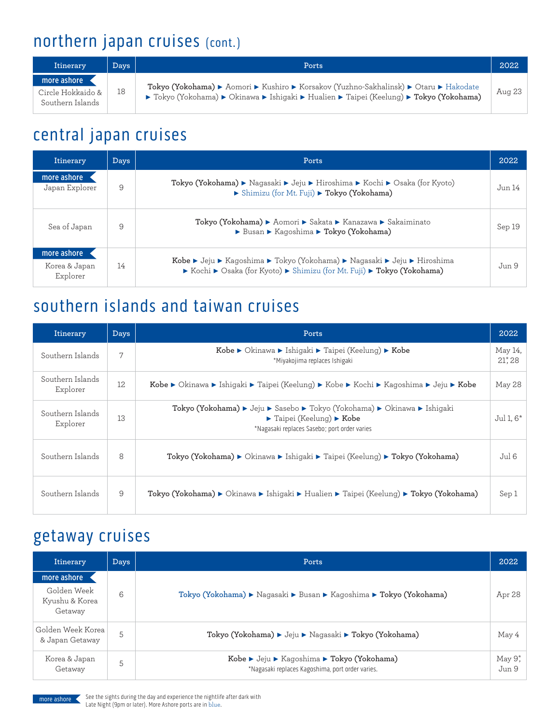## northern japan cruises (cont.)

| Itinerary                                            | Days <sup>1</sup> | Ports                                                                                                                                                                            | 2022   |
|------------------------------------------------------|-------------------|----------------------------------------------------------------------------------------------------------------------------------------------------------------------------------|--------|
| more ashore<br>Circle Hokkaido &<br>Southern Islands | 18                | Tokyo (Yokohama) ► Aomori ► Kushiro ► Korsakov (Yuzhno-Sakhalinsk) ► Otaru ► Hakodate<br>► Tokyo (Yokohama) ► Okinawa ► Ishigaki ► Hualien ► Taipei (Keelung) ► Tokyo (Yokohama) | Aug 23 |

## central japan cruises

| Itinerary                                | Days | Ports                                                                                                                                               | 2022   |
|------------------------------------------|------|-----------------------------------------------------------------------------------------------------------------------------------------------------|--------|
| more ashore<br>Japan Explorer            | 9    | Tokyo (Yokohama) ► Nagasaki ► Jeju ► Hiroshima ► Kochi ► Osaka (for Kyoto)<br>▶ Shimizu (for Mt. Fuji) ▶ Tokyo (Yokohama)                           | Jun 14 |
| Sea of Japan                             | 9    | Tokyo (Yokohama) ▶ Aomori ▶ Sakata ▶ Kanazawa ▶ Sakaiminato<br>▶ Busan ▶ Kagoshima ▶ Tokyo (Yokohama)                                               | Sep 19 |
| more ashore<br>Korea & Japan<br>Explorer | 14   | Kobe ► Jeju ► Kagoshima ► Tokyo (Yokohama) ► Nagasaki ► Jeju ► Hiroshima<br>► Kochi ► Osaka (for Kyoto) ► Shimizu (for Mt. Fuji) ► Tokyo (Yokohama) | Jun 9  |

## southern islands and taiwan cruises

| Itinerary                    | <b>Days</b> | Ports                                                                                                                                                                                                                                                 | 2022                        |
|------------------------------|-------------|-------------------------------------------------------------------------------------------------------------------------------------------------------------------------------------------------------------------------------------------------------|-----------------------------|
| Southern Islands             | 7           | Kobe ▶ Okinawa ▶ Ishigaki ▶ Taipei (Keelung) ▶ Kobe<br>*Miyakojima replaces Ishigaki                                                                                                                                                                  | May 14,<br>$21^{\ast}$ , 28 |
| Southern Islands<br>Explorer | 12          | Kobe $\blacktriangleright$ Okinawa $\blacktriangleright$ Ishigaki $\blacktriangleright$ Taipei (Keelung) $\blacktriangleright$ Kobe $\blacktriangleright$ Kochi $\blacktriangleright$ Kagoshima $\blacktriangleright$ Jeju $\blacktriangleright$ Kobe | May 28                      |
| Southern Islands<br>Explorer | 13          | Tokyo (Yokohama) ► Jeju ► Sasebo ► Tokyo (Yokohama) ► Okinawa ► Ishigaki<br>$\blacktriangleright$ Taipei (Keelung) $\blacktriangleright$ Kobe<br>*Nagasaki replaces Sasebo; port order varies                                                         | Jul 1, $6^*$                |
| Southern Islands             | 8           | Tokyo (Yokohama) ► Okinawa ► Ishigaki ► Taipei (Keelung) ► Tokyo (Yokohama)                                                                                                                                                                           | Jul 6                       |
| Southern Islands             | 9           | Tokyo (Yokohama) ► Okinawa ► Ishigaki ► Hualien ► Taipei (Keelung) ► Tokyo (Yokohama)                                                                                                                                                                 | Sep 1                       |

#### getaway cruises

| Itinerary                                               | Days | Ports                                                                                          | 2022             |
|---------------------------------------------------------|------|------------------------------------------------------------------------------------------------|------------------|
| more ashore<br>Golden Week<br>Kyushu & Korea<br>Getaway | 6    | Tokyo (Yokohama) ▶ Nagasaki ▶ Busan ▶ Kagoshima ▶ Tokyo (Yokohama)                             | Apr 28           |
| Golden Week Korea<br>& Japan Getaway                    | 5    | Tokyo (Yokohama) ▶ Jeju ▶ Nagasaki ▶ Tokyo (Yokohama)                                          | May 4            |
| Korea & Japan<br>Getaway                                | 5    | Kobe ▶ Jeju ▶ Kagoshima ▶ Tokyo (Yokohama)<br>*Nagasaki replaces Kagoshima, port order varies. | May 9*,<br>Jun 9 |